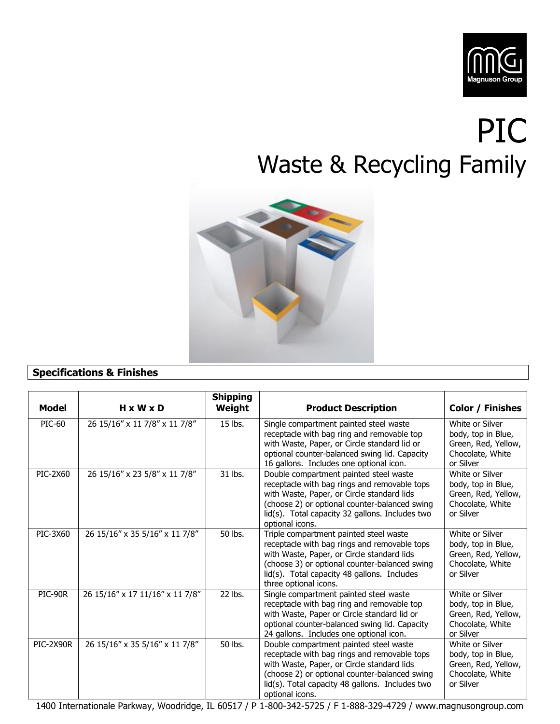

## PIC Waste & Recycling Family



## **Specifications & Finishes**

| <b>Model</b>    | $H \times W \times D$           | <b>Shipping</b><br>Weight | <b>Product Description</b>                                                                                                                                                                                                                                    | <b>Color / Finishes</b>                                                                       |
|-----------------|---------------------------------|---------------------------|---------------------------------------------------------------------------------------------------------------------------------------------------------------------------------------------------------------------------------------------------------------|-----------------------------------------------------------------------------------------------|
| <b>PIC-60</b>   | 26 15/16" x 11 7/8" x 11 7/8"   | 15 lbs.                   | Single compartment painted steel waste<br>receptacle with bag ring and removable top<br>with Waste, Paper, or Circle standard lid or<br>optional counter-balanced swing lid. Capacity<br>16 gallons. Includes one optional icon.                              | White or Silver<br>body, top in Blue,<br>Green, Red, Yellow,<br>Chocolate, White<br>or Silver |
| <b>PIC-2X60</b> | 26 15/16" x 23 5/8" x 11 7/8"   | 31 lbs.                   | Double compartment painted steel waste<br>receptacle with bag rings and removable tops<br>with Waste, Paper, or Circle standard lids<br>(choose 2) or optional counter-balanced swing<br>lid(s). Total capacity 32 gallons. Includes two<br>optional icons.   | White or Silver<br>body, top in Blue,<br>Green, Red, Yellow,<br>Chocolate, White<br>or Silver |
| PIC-3X60        | 26 15/16" x 35 5/16" x 11 7/8"  | 50 lbs.                   | Triple compartment painted steel waste<br>receptacle with bag rings and removable tops<br>with Waste, Paper, or Circle standard lids<br>(choose 3) or optional counter-balanced swing<br>lid(s). Total capacity 48 gallons. Includes<br>three optional icons. | White or Silver<br>body, top in Blue,<br>Green, Red, Yellow,<br>Chocolate, White<br>or Silver |
| PIC-90R         | 26 15/16" x 17 11/16" x 11 7/8" | 22 lbs.                   | Single compartment painted steel waste<br>receptacle with bag ring and removable top<br>with Waste, Paper or Circle standard lid or<br>optional counter-balanced swing lid. Capacity<br>24 gallons. Includes one optional icon.                               | White or Silver<br>body, top in Blue,<br>Green, Red, Yellow,<br>Chocolate, White<br>or Silver |
| PIC-2X90R       | 26 15/16" x 35 5/16" x 11 7/8"  | 50 lbs.                   | Double compartment painted steel waste<br>receptacle with bag rings and removable tops<br>with Waste, Paper, or Circle standard lids<br>(choose 2) or optional counter-balanced swing<br>lid(s). Total capacity 48 gallons. Includes two<br>optional icons.   | White or Silver<br>body, top in Blue,<br>Green, Red, Yellow,<br>Chocolate, White<br>or Silver |

1400 Internationale Parkway, Woodridge, IL 60517 / P 1-800-342-5725 / F 1-888-329-4729 / www.magnusongroup.com